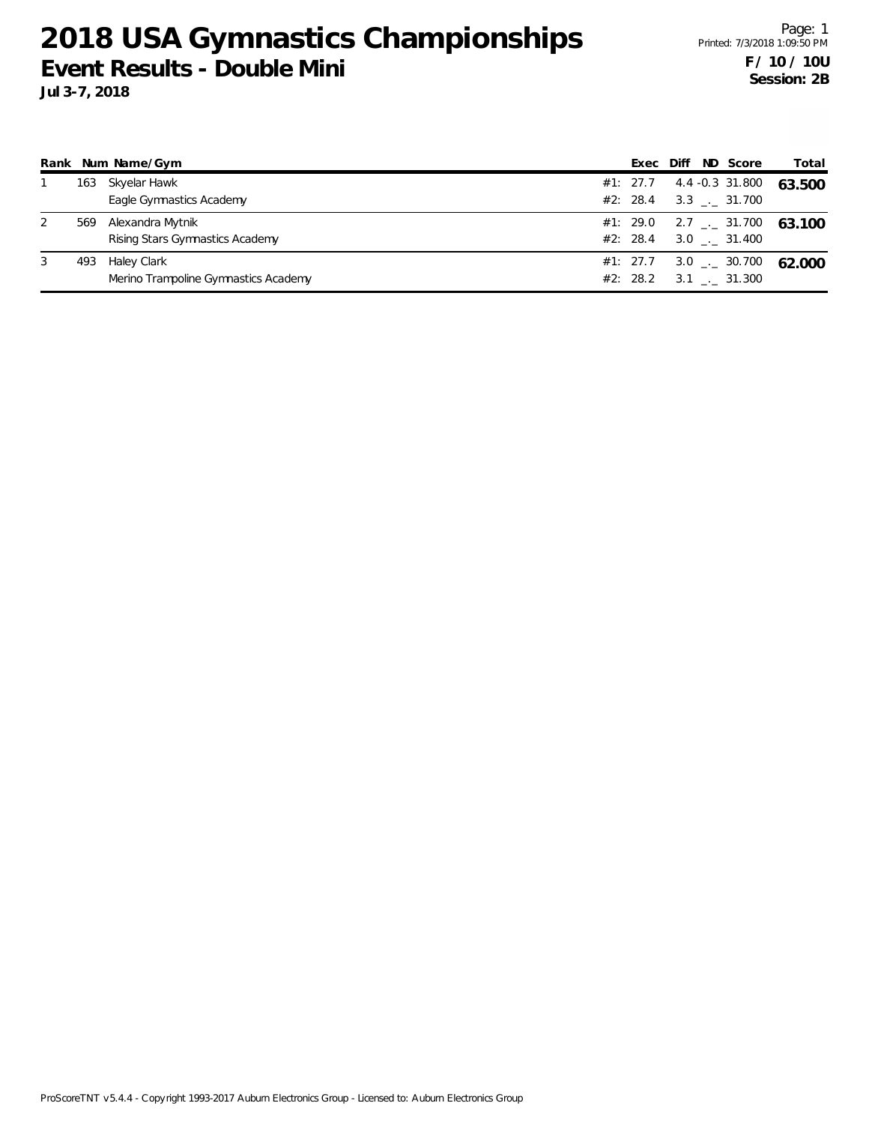|   |     | Rank Num Name/Gym                                   | Exec                 | Diff                         | ND Score                                    | Total                                    |
|---|-----|-----------------------------------------------------|----------------------|------------------------------|---------------------------------------------|------------------------------------------|
|   | 163 | Skyelar Hawk<br>Eagle Gymnastics Academy            | #1: 27.7             | #2: 28.4 3.3 $\ldots$ 31.700 | 4.4 -0.3 31.800                             | 63.500                                   |
| 2 | 569 | Alexandra Mytnik<br>Rising Stars Gymnastics Academy | #2: 28.4             |                              | 3.0 . 31.400                                | #1: 29.0 2.7 $\frac{1}{2}$ 31.700 63.100 |
| 3 | 493 | Haley Clark<br>Merino Trampoline Gymnastics Academy | #1: 27.7<br>#2: 28.2 |                              | $3.0$ _ $-30.700$<br>$3.1$ $_{-1}$ $31.300$ | 62.000                                   |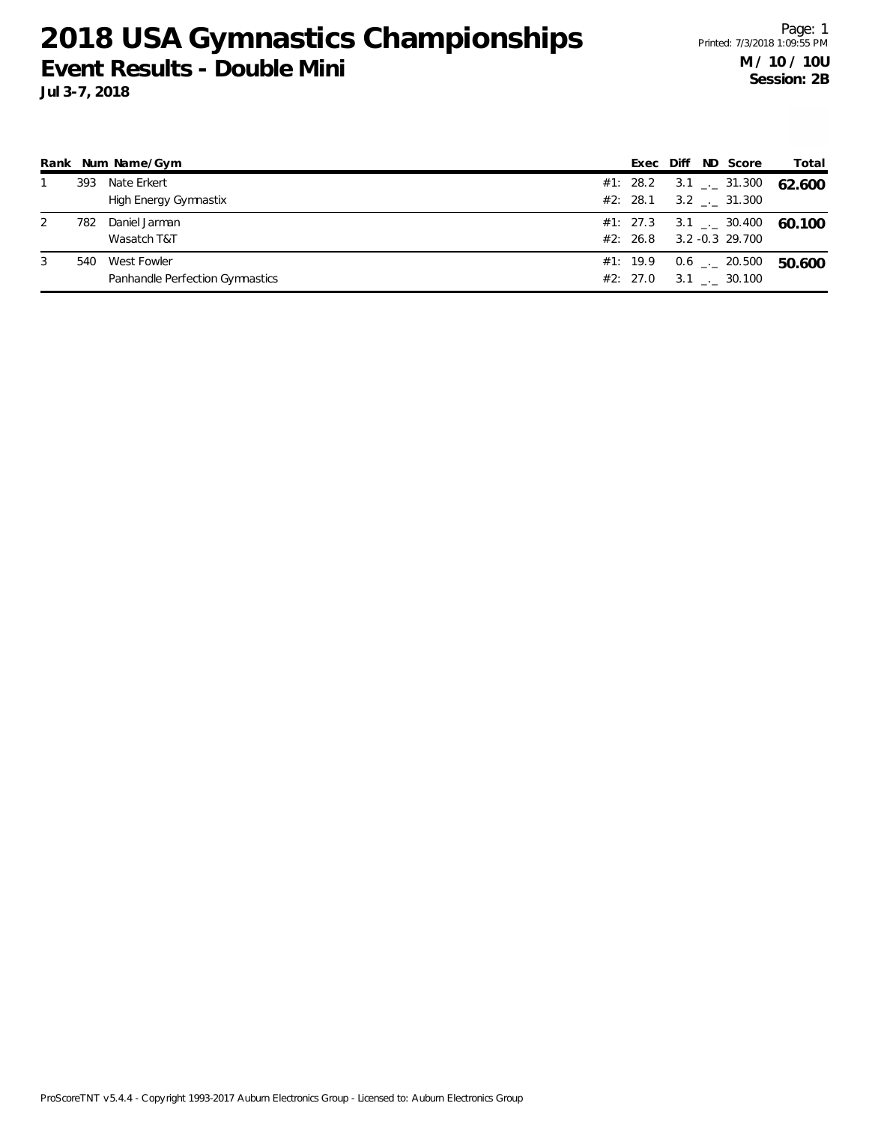|   |     | Rank Num Name/Gym                              | Exec                 | ND Score<br>Diff                                                  | Total  |
|---|-----|------------------------------------------------|----------------------|-------------------------------------------------------------------|--------|
|   | 393 | Nate Erkert<br>High Energy Gymnastix           | #1: 28.2             | $3.1$ $_{\leftarrow}$ 31.300<br>#2: 28.1 3.2 $\frac{1}{2}$ 31.300 | 62.600 |
|   | 782 | Daniel Jarman<br>Wasatch T&T                   | #2: 26.8             | #1: 27.3 3.1 $\frac{1}{2}$ 30.400<br>3.2 -0.3 29.700              | 60.100 |
| 3 | 540 | West Fowler<br>Panhandle Perfection Gymnastics | #1: 19.9<br>#2: 27.0 | $0.6$ _ $-$ 20.500<br>$3.1$ _._ 30.100                            | 50.600 |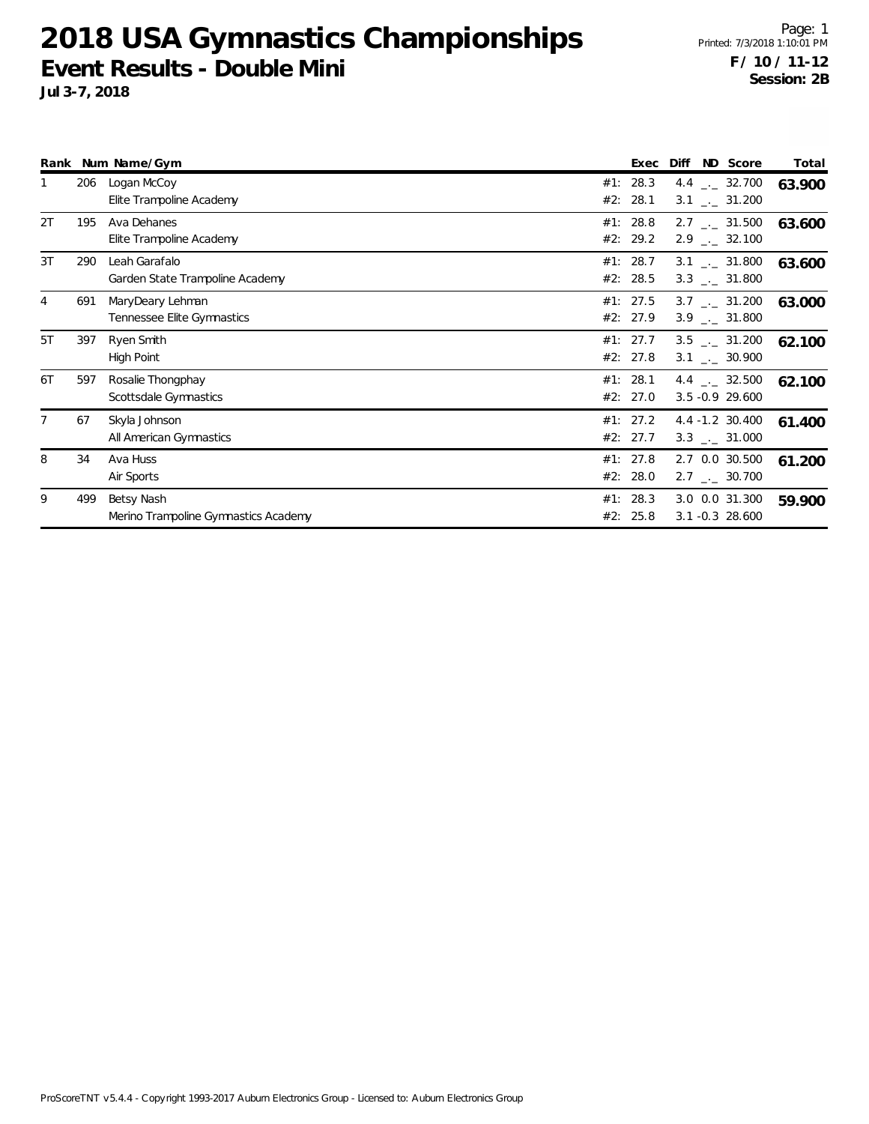|    |     | Rank Num Name/Gym                    |     | Exec     | Diff                         | ND Score | Total  |
|----|-----|--------------------------------------|-----|----------|------------------------------|----------|--------|
|    | 206 | Logan McCoy                          | #1: | 28.3     | 4.4 $\qquad$ 32.700          |          | 63.900 |
|    |     | Elite Trampoline Academy             | #2: | 28.1     | $3.1$ _._ 31.200             |          |        |
| 2T | 195 | Ava Dehanes                          | #1: | 28.8     | $2.7$ $_{\sim}$ 31.500       |          | 63.600 |
|    |     | Elite Trampoline Academy             |     | #2: 29.2 | $2.9$ $_{\leftarrow}$ 32.100 |          |        |
| 3T | 290 | Leah Garafalo                        |     | #1: 28.7 | $3.1$ _._ 31.800             |          | 63.600 |
|    |     | Garden State Trampoline Academy      |     | #2: 28.5 | $3.3$ _._ 31.800             |          |        |
| 4  | 691 | MaryDeary Lehman                     |     | #1: 27.5 | $3.7$ $_{\sim}$ 31.200       |          | 63.000 |
|    |     | Tennessee Elite Gymnastics           |     | #2: 27.9 | $3.9$ $_{\leftarrow}$ 31.800 |          |        |
| 5T | 397 | Ryen Smith                           |     | #1: 27.7 | $3.5$ $_{-1}$ $31.200$       |          | 62.100 |
|    |     | High Point                           |     | #2: 27.8 | $3.1$ _._ 30.900             |          |        |
| 6T | 597 | Rosalie Thongphay                    |     | #1: 28.1 | 4.4 $\qquad$ $-$ 32.500      |          | 62.100 |
|    |     | Scottsdale Gymnastics                |     | #2: 27.0 | $3.5 - 0.9$ 29.600           |          |        |
|    | 67  | Skyla Johnson                        |     | #1: 27.2 | 4.4 -1.2 30.400              |          | 61.400 |
|    |     | All American Gymnastics              |     | #2: 27.7 | $3.3$ $_{\leftarrow}$ 31.000 |          |        |
| 8  | 34  | Ava Huss                             |     | #1: 27.8 | 2.7 0.0 30.500               |          | 61.200 |
|    |     | Air Sports                           |     | #2: 28.0 | $2.7$ $_{\leftarrow}$ 30.700 |          |        |
| 9  | 499 | Betsy Nash                           | #1: | 28.3     | 3.0 0.0 31.300               |          | 59.900 |
|    |     | Merino Trampoline Gymnastics Academy | #2: | 25.8     | $3.1 - 0.3$ 28.600           |          |        |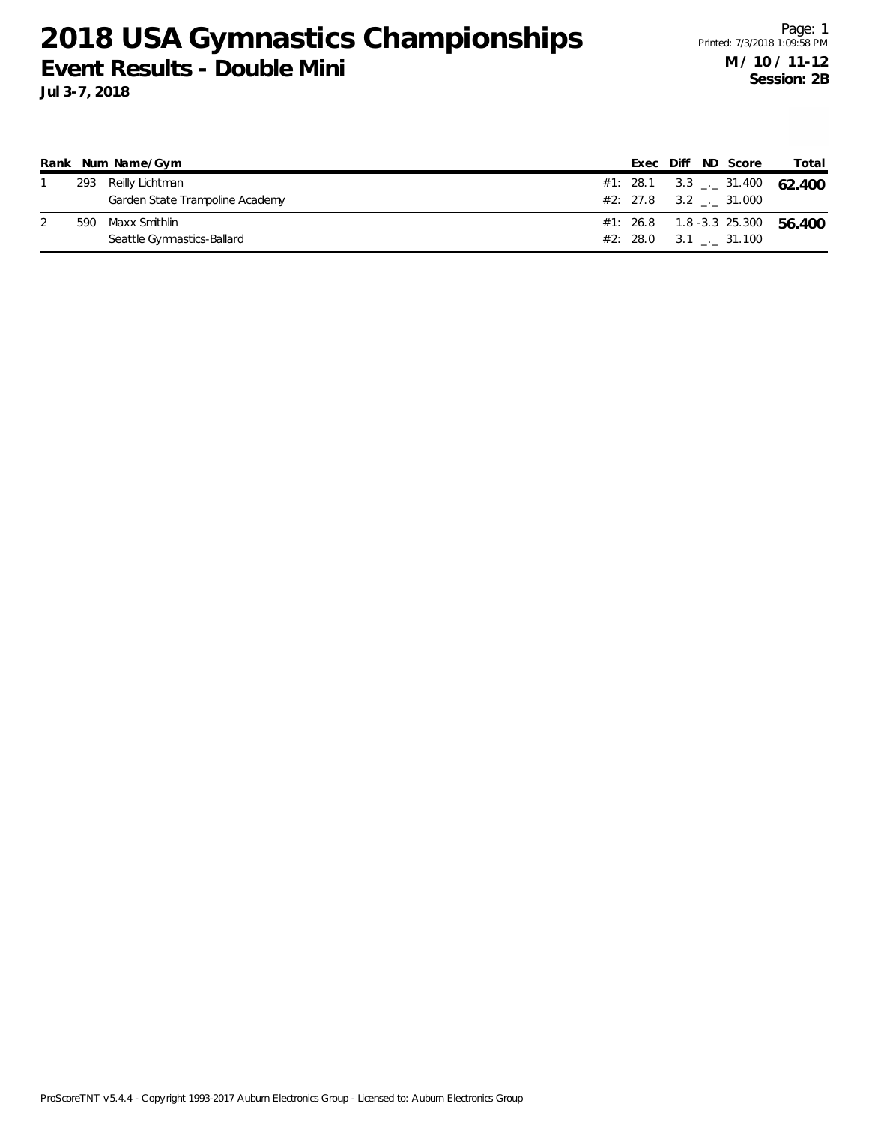|  | Rank Num Name/Gym               |  |  | Exec Diff ND Score      | Total                                    |
|--|---------------------------------|--|--|-------------------------|------------------------------------------|
|  | 293 Reilly Lichtman             |  |  |                         | #1: 28.1 3.3 $\frac{1}{2}$ 31.400 62.400 |
|  | Garden State Trampoline Academy |  |  | $#2: 27.8$ 3.2 . 31.000 |                                          |
|  | 590 Maxx Smithlin               |  |  |                         | #1: 26.8  1.8 -3.3  25.300  56.400       |
|  | Seattle Gymnastics-Ballard      |  |  | #2: 28.0 3.1 . 31.100   |                                          |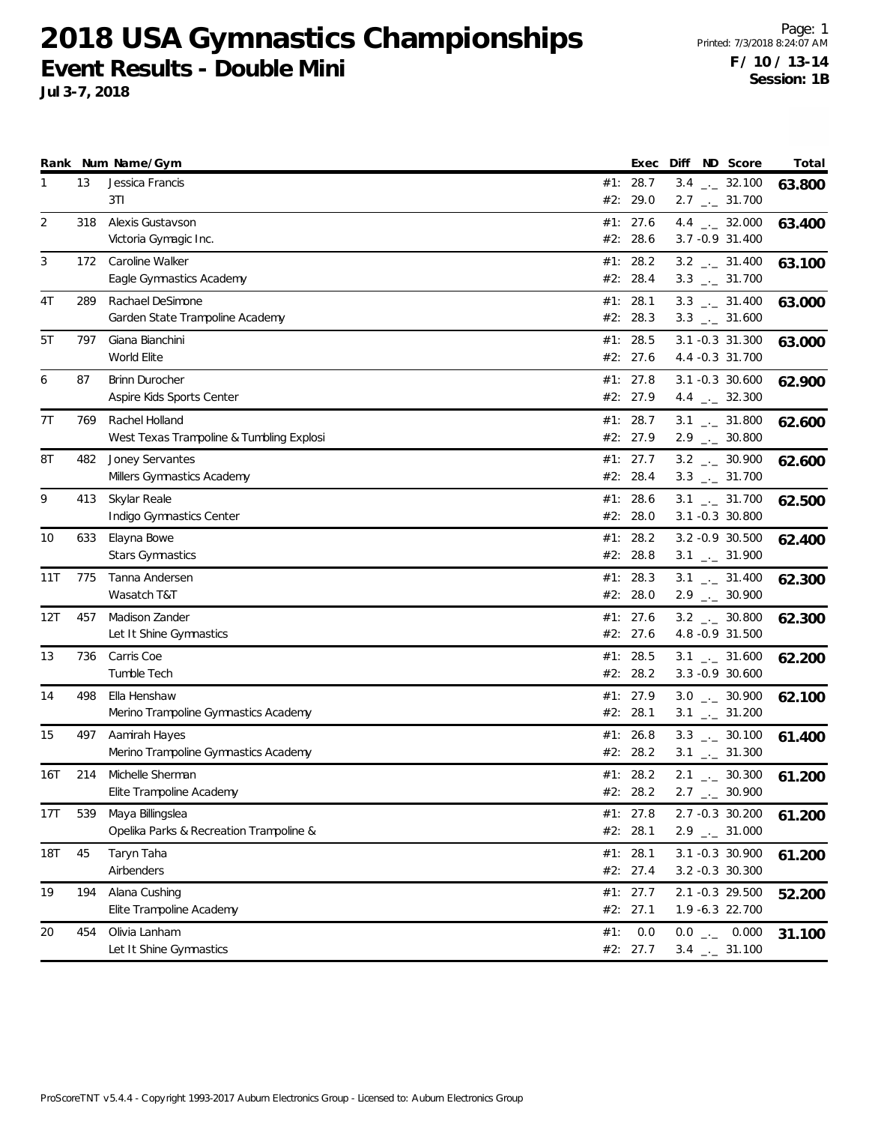|     |     | Rank Num Name/Gym                         |     | Exec                 |  | Diff ND Score                                                | Total  |
|-----|-----|-------------------------------------------|-----|----------------------|--|--------------------------------------------------------------|--------|
| 1   | 13  | Jessica Francis                           |     | #1: 28.7             |  | $3.4$ $_{\leftarrow}$ 32.100                                 | 63.800 |
|     |     | 3T1                                       |     | #2: 29.0             |  | $2.7$ $_{\leftarrow}$ 31.700                                 |        |
| 2   | 318 | Alexis Gustavson                          | #1: | 27.6                 |  | 4.4 $\qquad$ 32.000                                          | 63.400 |
|     |     | Victoria Gymagic Inc.                     |     | #2: 28.6             |  | 3.7 - 0.9 31.400                                             |        |
| 3   | 172 | Caroline Walker                           |     | #1: 28.2             |  | $3.2$ $_{\leftarrow}$ 31.400                                 | 63.100 |
|     |     | Eagle Gymnastics Academy                  |     | #2: 28.4             |  | $3.3$ $_{\leftarrow}$ 31.700                                 |        |
| 4T  | 289 | Rachael DeSimone                          |     | #1: 28.1             |  | $3.3$ _ $-31.400$                                            | 63.000 |
|     |     | Garden State Trampoline Academy           |     | #2: 28.3             |  | $3.3$ _ $-31.600$                                            |        |
| 5T  | 797 | Giana Bianchini                           |     | #1: 28.5             |  | 3.1 -0.3 31.300                                              | 63.000 |
|     |     | World Elite                               |     | #2: 27.6             |  | 4.4 -0.3 31.700                                              |        |
| 6   | 87  | <b>Brinn Durocher</b>                     |     | #1: 27.8             |  | $3.1 - 0.3$ 30.600                                           | 62.900 |
|     |     | Aspire Kids Sports Center                 |     | #2: 27.9             |  | 4.4 $_{\leftarrow}$ 32.300                                   |        |
| 7T  | 769 | Rachel Holland                            |     | #1: 28.7             |  | $3.1$ _._ 31.800                                             |        |
|     |     | West Texas Trampoline & Tumbling Explosi  |     | #2: 27.9             |  | $2.9$ $_{\leftarrow}$ 30.800                                 | 62.600 |
| 8T  | 482 | Joney Servantes                           |     | #1: 27.7             |  | $3.2$ $_{-1}$ 30.900                                         |        |
|     |     | Millers Gymnastics Academy                |     | #2: 28.4             |  | $3.3$ $_{\leftarrow}$ 31.700                                 | 62.600 |
| 9   | 413 |                                           |     | #1: 28.6             |  |                                                              |        |
|     |     | Skylar Reale<br>Indigo Gymnastics Center  |     | #2: 28.0             |  | $3.1$ $_{-1}$ 31.700<br>$3.1 - 0.3$ 30.800                   | 62.500 |
|     |     |                                           |     |                      |  |                                                              |        |
| 10  | 633 | Elayna Bowe<br><b>Stars Gymnastics</b>    |     | #1: 28.2<br>#2: 28.8 |  | 3.2 -0.9 30.500<br>$3.1$ $_{\leftarrow}$ 31.900              | 62.400 |
|     |     |                                           |     |                      |  |                                                              |        |
| 11T | 775 | Tanna Andersen<br>Wasatch T&T             |     | #1: 28.3<br>#2: 28.0 |  | $3.1$ $_{\leftarrow}$ 31.400<br>$2.9$ $_{\leftarrow}$ 30.900 | 62.300 |
|     |     |                                           |     |                      |  |                                                              |        |
| 12T | 457 | Madison Zander<br>Let It Shine Gymnastics |     | #1: 27.6<br>#2: 27.6 |  | $3.2$ $_{\leftarrow}$ 30.800<br>4.8 - 0.9 31.500             | 62.300 |
|     |     |                                           |     |                      |  |                                                              |        |
| 13  | 736 | Carris Coe<br>Tumble Tech                 |     | #1: 28.5<br>#2: 28.2 |  | $3.1$ $_{-1}$ 31.600<br>3.3 -0.9 30.600                      | 62.200 |
|     |     |                                           |     |                      |  |                                                              |        |
| 14  | 498 | Ella Henshaw                              |     | #1: 27.9<br>#2: 28.1 |  | $3.0$ __ 30.900                                              | 62.100 |
|     |     | Merino Trampoline Gymnastics Academy      |     |                      |  | $3.1$ $_{-1}$ $31.200$                                       |        |
| 15  | 497 | Aamirah Hayes                             |     | #1: 26.8             |  | $3.3$ $_{\leftarrow}$ 30.100                                 | 61.400 |
|     |     | Merino Trampoline Gymnastics Academy      |     | #2: 28.2             |  | $3.1$ $_{-1}$ 31.300                                         |        |
| 16T | 214 | Michelle Sherman                          |     | #1: 28.2             |  | $2.1$ $_{-1}$ 30.300                                         | 61.200 |
|     |     | Elite Trampoline Academy                  |     | #2: 28.2             |  | $2.7$ $_{\leftarrow}$ 30.900                                 |        |
| 17T | 539 | Maya Billingslea                          |     | #1: 27.8             |  | 2.7 -0.3 30.200                                              | 61.200 |
|     |     | Opelika Parks & Recreation Trampoline &   |     | #2: 28.1             |  | $2.9$ $_{\leftarrow}$ 31.000                                 |        |
| 18T | 45  | Taryn Taha                                |     | #1: 28.1             |  | 3.1 -0.3 30.900                                              | 61.200 |
|     |     | Airbenders                                |     | #2: 27.4             |  | 3.2 -0.3 30.300                                              |        |
| 19  | 194 | Alana Cushing                             |     | #1: 27.7             |  | 2.1 -0.3 29.500                                              | 52.200 |
|     |     | Elite Trampoline Academy                  |     | #2: 27.1             |  | 1.9 -6.3 22.700                                              |        |
| 20  | 454 | Olivia Lanham                             | #1: | 0.0                  |  | $0.0$ _ 0.000                                                | 31.100 |
|     |     | Let It Shine Gymnastics                   |     | #2: 27.7             |  | $3.4$ $_{-1}$ 31.100                                         |        |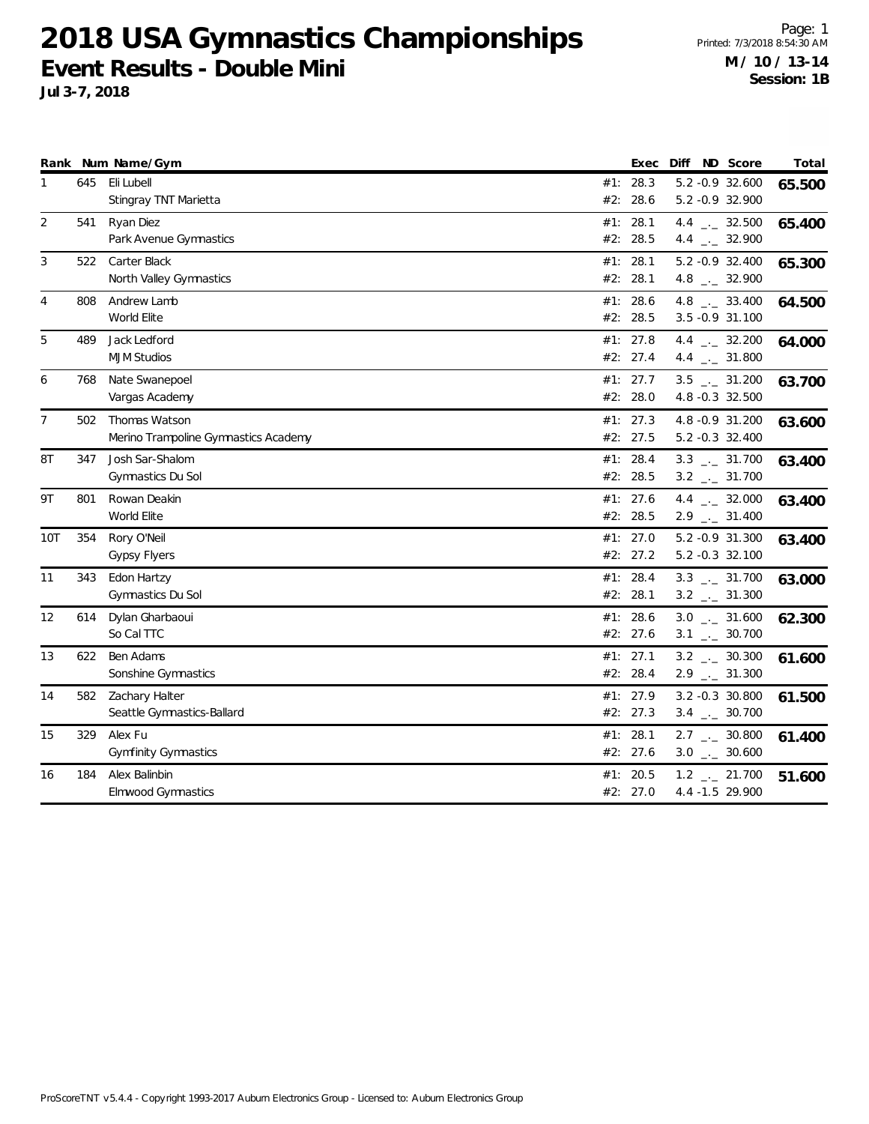|                |     | Rank Num Name/Gym                    |     | Exec       | Diff | ND Score                      | Total  |
|----------------|-----|--------------------------------------|-----|------------|------|-------------------------------|--------|
| 1              | 645 | Eli Lubell                           |     | #1: 28.3   |      | 5.2 -0.9 32.600               | 65.500 |
|                |     | Stingray TNT Marietta                | #2: | 28.6       |      | 5.2 -0.9 32.900               |        |
| 2              | 541 | Ryan Diez                            |     | #1: 28.1   |      | 4.4 $\frac{1}{2}$ 32.500      | 65.400 |
|                |     | Park Avenue Gymnastics               |     | #2: 28.5   |      | 4.4 $\frac{1}{2}$ 32.900      |        |
| 3              | 522 | Carter Black                         |     | #1: 28.1   |      | 5.2 -0.9 32.400               | 65.300 |
|                |     | North Valley Gymnastics              |     | #2: 28.1   |      | 4.8 $_{\leftarrow}$ 32.900    |        |
| $\overline{4}$ | 808 | Andrew Lamb                          |     | #1: 28.6   |      | 4.8 $\qquad \qquad -2$ 33.400 | 64.500 |
|                |     | World Elite                          |     | #2: 28.5   |      | 3.5 -0.9 31.100               |        |
| 5              | 489 | Jack Ledford                         |     | #1: 27.8   |      | 4.4 $\frac{1}{2}$ 32.200      | 64.000 |
|                |     | <b>MJM Studios</b>                   |     | #2: 27.4   |      | 4.4 $\qquad$ 31.800           |        |
| 6              | 768 | Nate Swanepoel                       |     | #1: $27.7$ |      | $3.5$ $-2.31.200$             | 63.700 |
|                |     | Vargas Academy                       |     | #2: 28.0   |      | 4.8 -0.3 32.500               |        |
| $\overline{7}$ | 502 | Thomas Watson                        |     | #1: $27.3$ |      | 4.8 -0.9 31.200               | 63.600 |
|                |     | Merino Trampoline Gymnastics Academy |     | #2: 27.5   |      | 5.2 -0.3 32.400               |        |
| 8T             | 347 | Josh Sar-Shalom                      |     | #1: 28.4   |      | $3.3$ $_{\leftarrow}$ 31.700  | 63.400 |
|                |     | Gymnastics Du Sol                    |     | #2: 28.5   |      | $3.2$ $_{-}$ 31.700           |        |
| 9T             | 801 | Rowan Deakin                         | #1: | 27.6       |      | 4.4 $\frac{1}{2}$ 32.000      | 63.400 |
|                |     | World Elite                          |     | #2: 28.5   |      | $2.9$ $_{\leftarrow}$ 31.400  |        |
| 10T            | 354 | Rory O'Neil                          |     | #1: 27.0   |      | 5.2 -0.9 31.300               | 63.400 |
|                |     | <b>Gypsy Flyers</b>                  |     | #2: 27.2   |      | 5.2 -0.3 32.100               |        |
| 11             | 343 | Edon Hartzy                          |     | #1: 28.4   |      | $3.3$ _._ 31.700              | 63.000 |
|                |     | Gymnastics Du Sol                    |     | #2: 28.1   |      | $3.2$ _ 31.300                |        |
| 12             | 614 | Dylan Gharbaoui                      |     | #1: 28.6   |      | $3.0$ _ $-31.600$             | 62.300 |
|                |     | So Cal TTC                           |     | #2: 27.6   |      | $3.1$ $_{-1}$ 30.700          |        |
| 13             | 622 | Ben Adams                            |     | #1: 27.1   |      | $3.2$ _ $-30.300$             | 61.600 |
|                |     | Sonshine Gymnastics                  |     | #2: 28.4   |      | $2.9$ $_{\leftarrow}$ 31.300  |        |
| 14             | 582 | Zachary Halter                       |     | #1: 27.9   |      | 3.2 -0.3 30.800               | 61.500 |
|                |     | Seattle Gymnastics-Ballard           |     | #2: 27.3   |      | $3.4$ $_{\leftarrow}$ 30.700  |        |
| 15             | 329 | Alex Fu                              |     | #1: 28.1   |      | $2.7$ _ $-$ 30.800            | 61.400 |
|                |     | <b>Gymfinity Gymnastics</b>          |     | #2: 27.6   |      | $3.0$ _ $-30.600$             |        |
| 16             | 184 | Alex Balinbin                        | #1: | 20.5       |      | $1.2$ $_{-}$ 21.700           | 51.600 |
|                |     | <b>Elmwood Gymnastics</b>            |     | #2: 27.0   |      | 4.4 -1.5 29.900               |        |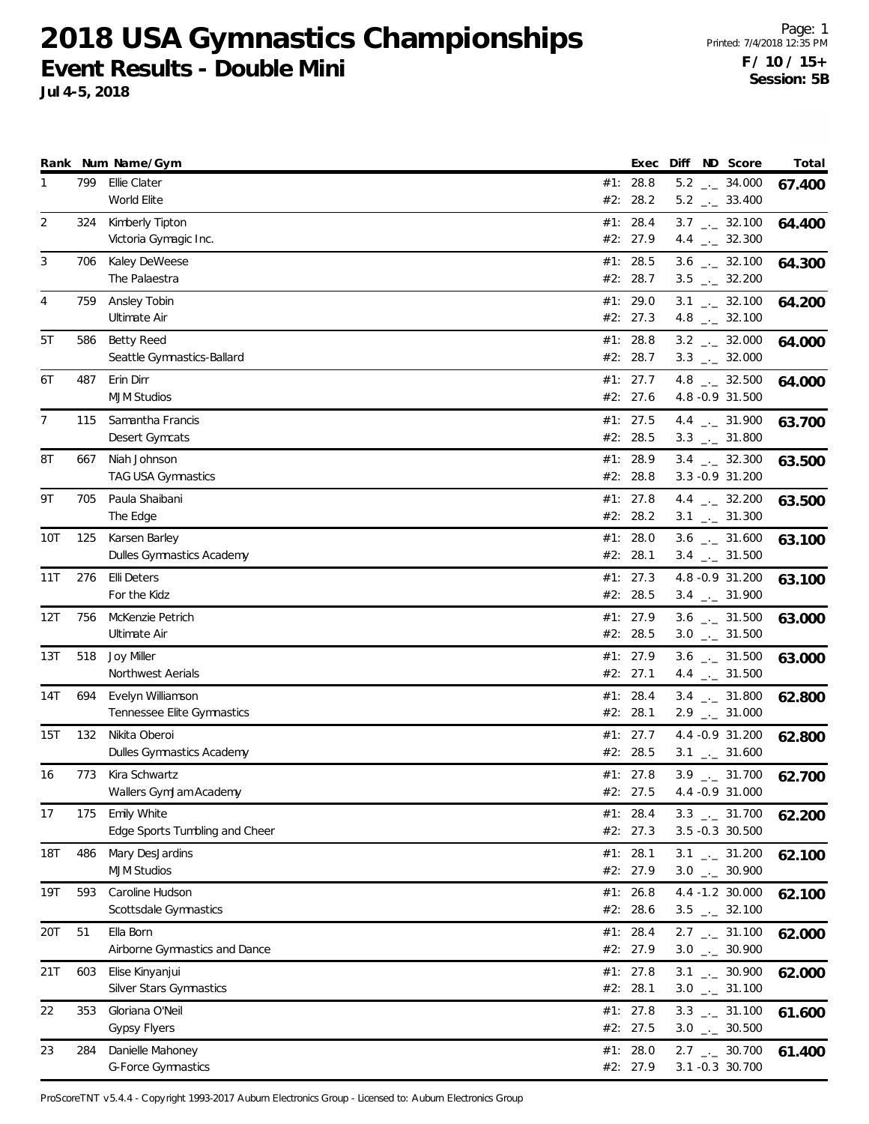**Jul 4-5, 2018**

|            |     | Rank Num Name/Gym              | Exec                 | Diff ND Score                 |                              | Total  |
|------------|-----|--------------------------------|----------------------|-------------------------------|------------------------------|--------|
| 1          | 799 | Ellie Clater<br>World Elite    | #1: 28.8<br>#2: 28.2 | $5.2$ _._ 33.400              | $5.2$ _ $-34.000$            | 67.400 |
| 2          | 324 | Kimberly Tipton                | #1: 28.4             |                               | $3.7$ $_{\leftarrow}$ 32.100 | 64.400 |
|            |     | Victoria Gymagic Inc.          | #2: 27.9             |                               | 4.4 $\frac{1}{2}$ 32.300     |        |
| 3          | 706 | Kaley DeWeese                  | #1: 28.5             |                               | $3.6$ _ $-32.100$            | 64.300 |
|            |     | The Palaestra                  | #2: 28.7             |                               | $3.5$ $_{-}$ 32.200          |        |
| 4          | 759 | Ansley Tobin                   | #1: 29.0             |                               | $3.1$ $_{-1}$ 32.100         | 64.200 |
|            |     | Ultimate Air                   | #2: 27.3             | 4.8 $\qquad \qquad -2$ 32.100 |                              |        |
| 5T         | 586 | Betty Reed                     | #1: 28.8             |                               | $3.2$ $_{-}$ 32.000          | 64.000 |
|            |     | Seattle Gymnastics-Ballard     | #2: 28.7             |                               | $3.3$ $_{\leftarrow}$ 32.000 |        |
| 6T         | 487 | Erin Dirr                      | #1: 27.7             |                               | 4.8 $_{\leftarrow}$ 32.500   | 64.000 |
|            |     | <b>MJM Studios</b>             | #2: 27.6             |                               | 4.8 -0.9 31.500              |        |
| 7          | 115 | Samantha Francis               | #1: 27.5             |                               | 4.4 $_{\leftarrow}$ 31.900   | 63.700 |
|            |     | Desert Gymcats                 | #2: 28.5             | $3.3$ $_{\leftarrow}$ 31.800  |                              |        |
| 8Τ         | 667 | Niah Johnson                   | #1: 28.9             |                               | $3.4$ $_{\leftarrow}$ 32.300 | 63.500 |
|            |     | <b>TAG USA Gymnastics</b>      | #2: 28.8             |                               | 3.3 - 0.9 31.200             |        |
| 9Τ         | 705 | Paula Shaibani                 | #1: $27.8$           | 4.4 $\frac{1}{2}$ 32.200      |                              | 63.500 |
|            |     | The Edge                       | #2: 28.2             | $3.1$ $_{-1}$ 31.300          |                              |        |
| 10T        | 125 | Karsen Barley                  | #1: $28.0$           |                               | $3.6$ $_{\leftarrow}$ 31.600 | 63.100 |
|            |     | Dulles Gymnastics Academy      | #2: 28.1             |                               | $3.4$ $_{\leftarrow}$ 31.500 |        |
| 11T        | 276 | <b>Elli Deters</b>             | #1: 27.3             |                               | 4.8 - 0.9 31.200             | 63.100 |
|            |     | For the Kidz                   | #2: 28.5             | $3.4$ $_{-1}$ 31.900          |                              |        |
| 12T        | 756 | McKenzie Petrich               | #1: 27.9             |                               | $3.6$ $-2$ 31.500            | 63.000 |
|            |     | Ultimate Air                   | #2: 28.5             | $3.0$ $_{\leftarrow}$ 31.500  |                              |        |
| 13T        | 518 | Joy Miller                     | #1: 27.9             |                               | $3.6$ _ $-31.500$            | 63.000 |
|            |     | Northwest Aerials              | #2: 27.1             |                               | 4.4 $_{\leftarrow}$ 31.500   |        |
| 14T        | 694 | Evelyn Williamson              | #1: 28.4             |                               | $3.4$ $_{-}$ 31.800          | 62.800 |
|            |     | Tennessee Elite Gymnastics     | #2: 28.1             |                               | $2.9$ $_{\leftarrow}$ 31.000 |        |
| 15T        | 132 | Nikita Oberoi                  | #1: 27.7             |                               | 4.4 - 0.9 31.200             | 62.800 |
|            |     | Dulles Gymnastics Academy      | #2: 28.5             | $3.1$ $_{--}$ 31.600          |                              |        |
| 16         | 773 | Kira Schwartz                  | #1: 27.8             |                               | $3.9$ $_{\leftarrow}$ 31.700 | 62.700 |
|            |     | Wallers GymJam Academy         | #2: 27.5             | 4.4 - 0.9 31.000              |                              |        |
| 17         | 175 | Emily White                    | #1: 28.4             |                               | $3.3$ $-2$ 31.700            | 62.200 |
|            |     | Edge Sports Tumbling and Cheer | #2: 27.3             |                               | 3.5 -0.3 30.500              |        |
| <b>18T</b> | 486 | Mary DesJardins                | #1: 28.1             |                               | $3.1$ $_{\leftarrow}$ 31.200 | 62.100 |
|            |     | <b>MJM Studios</b>             | #2: 27.9             |                               | $3.0$ $_{\leftarrow}$ 30.900 |        |
| 19T        | 593 | Caroline Hudson                | #1: 26.8             |                               | 4.4 -1.2 30.000              | 62.100 |
|            |     | Scottsdale Gymnastics          | #2: 28.6             |                               | $3.5$ $_{-}$ 32.100          |        |
| 20T        | 51  | Ella Born                      | #1: 28.4             |                               | $2.7$ $_{\leftarrow}$ 31.100 | 62.000 |
|            |     | Airborne Gymnastics and Dance  | #2: 27.9             |                               | $3.0$ _ $-30.900$            |        |
| 21T        | 603 | Elise Kinyanjui                | #1: $27.8$           |                               | $3.1$ $_{\leftarrow}$ 30.900 | 62.000 |
|            |     | Silver Stars Gymnastics        | #2: 28.1             |                               | $3.0$ _ $-31.100$            |        |
| 22         | 353 | Gloriana O'Neil                | #1: $27.8$           |                               | $3.3$ $_{\leftarrow}$ 31.100 | 61.600 |
|            |     | <b>Gypsy Flyers</b>            | #2: 27.5             |                               | $3.0$ $_{\leftarrow}$ 30.500 |        |
| 23         | 284 | Danielle Mahoney               | #1: 28.0             |                               | $2.7$ $_{-}$ 30.700          | 61.400 |
|            |     | <b>G-Force Gymnastics</b>      | #2: 27.9             |                               | 3.1 -0.3 30.700              |        |

ProScoreTNT v5.4.4 - Copyright 1993-2017 Auburn Electronics Group - Licensed to: Auburn Electronics Group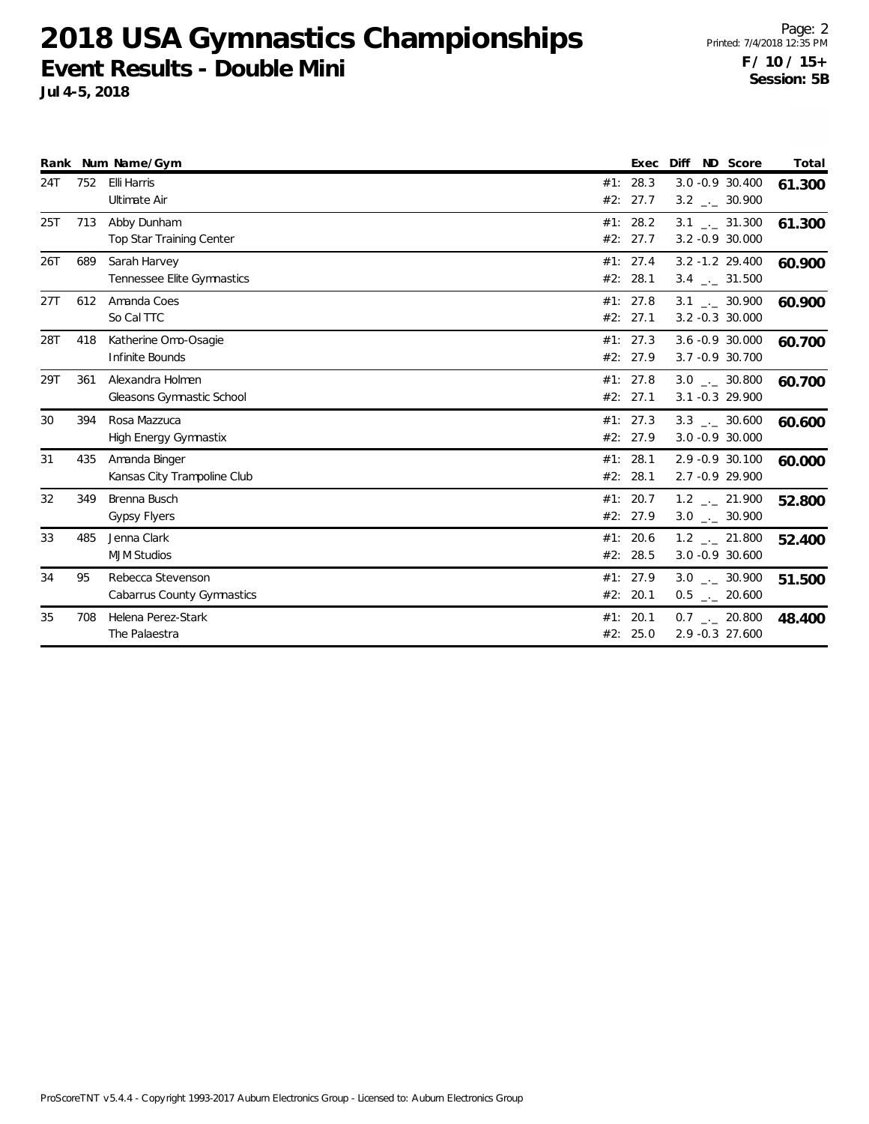**Jul 4-5, 2018**

|     |     | Rank Num Name/Gym                               | Exec                       | ND Score<br>Diff                                     | Total  |
|-----|-----|-------------------------------------------------|----------------------------|------------------------------------------------------|--------|
| 24T | 752 | Elli Harris<br>Ultimate Air                     | 28.3<br>#1:<br>27.7<br>#2: | 3.0 -0.9 30.400<br>$3.2$ $_{\leftarrow}$ 30.900      | 61.300 |
| 25T | 713 | Abby Dunham<br>Top Star Training Center         | #1: 28.2<br>#2:<br>27.7    | $3.1$ $_{-1}$ $31.300$<br>$3.2 -0.9 30.000$          | 61.300 |
| 26T | 689 | Sarah Harvey<br>Tennessee Elite Gymnastics      | #1: 27.4<br>28.1<br>#2:    | $3.2 - 1.2$ 29.400<br>$3.4$ $\phantom{0}-2.500$      | 60.900 |
| 27T | 612 | Amanda Coes<br>So Cal TTC                       | #1: 27.8<br>#2: 27.1       | $3.1$ $_{-1}$ 30.900<br>$3.2 -0.3$ 30.000            | 60.900 |
| 28T | 418 | Katherine Omo-Osagie<br>Infinite Bounds         | #1: 27.3<br>#2: 27.9       | $3.6 - 0.9$ 30.000<br>3.7 -0.9 30.700                | 60.700 |
| 29T | 361 | Alexandra Holmen<br>Gleasons Gymnastic School   | #1: 27.8<br>#2: 27.1       | $3.0$ _._ 30.800<br>3.1 -0.3 29.900                  | 60.700 |
| 30  | 394 | Rosa Mazzuca<br><b>High Energy Gymnastix</b>    | #1: 27.3<br>#2: 27.9       | $3.3$ _._ 30.600<br>$3.0 - 0.9 30.000$               | 60.600 |
| 31  | 435 | Amanda Binger<br>Kansas City Trampoline Club    | #1: 28.1<br>#2:<br>28.1    | 2.9 -0.9 30.100<br>2.7 -0.9 29.900                   | 60.000 |
| 32  | 349 | Brenna Busch<br><b>Gypsy Flyers</b>             | #1: 20.7<br>#2: 27.9       | $1.2$ $_{-2}$ 21.900<br>$3.0$ $_{\leftarrow}$ 30.900 | 52.800 |
| 33  | 485 | Jenna Clark<br><b>MJM Studios</b>               | 20.6<br>#1:<br>#2: 28.5    | 1.2 . 21.800<br>3.0 -0.9 30.600                      | 52.400 |
| 34  | 95  | Rebecca Stevenson<br>Cabarrus County Gymnastics | #1: 27.9<br>#2: 20.1       | $3.0$ _._ 30.900<br>$0.5$ _ 20.600                   | 51.500 |
| 35  | 708 | Helena Perez-Stark<br>The Palaestra             | #1: 20.1<br>#2: 25.0       | $0.7$ _._ 20.800<br>2.9 -0.3 27.600                  | 48.400 |